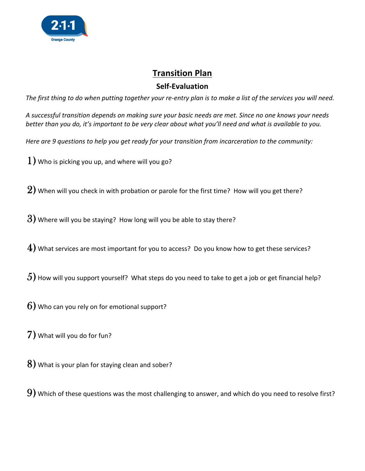

## **Transition Plan**

## Self-Evaluation

The first thing to do when putting together your re-entry plan is to make a list of the services you will need.

A successful transition depends on making sure your basic needs are met. Since no one knows your needs better than you do, it's important to be very clear about what you'll need and what is available to you.

Here are 9 questions to help you get ready for your transition from incarceration to the community:

 $1$ ) Who is picking you up, and where will you go?

 $2)$  When will you check in with probation or parole for the first time? How will you get there?

 $3)$  Where will you be staying? How long will you be able to stay there?

 $\ket{4}$  What services are most important for you to access? Do you know how to get these services?

 $5$ ) How will you support yourself? What steps do you need to take to get a job or get financial help?

 $6$ ) Who can you rely on for emotional support?

7) What will you do for fun?

8) What is your plan for staying clean and sober?

 $9)$  Which of these questions was the most challenging to answer, and which do you need to resolve first?